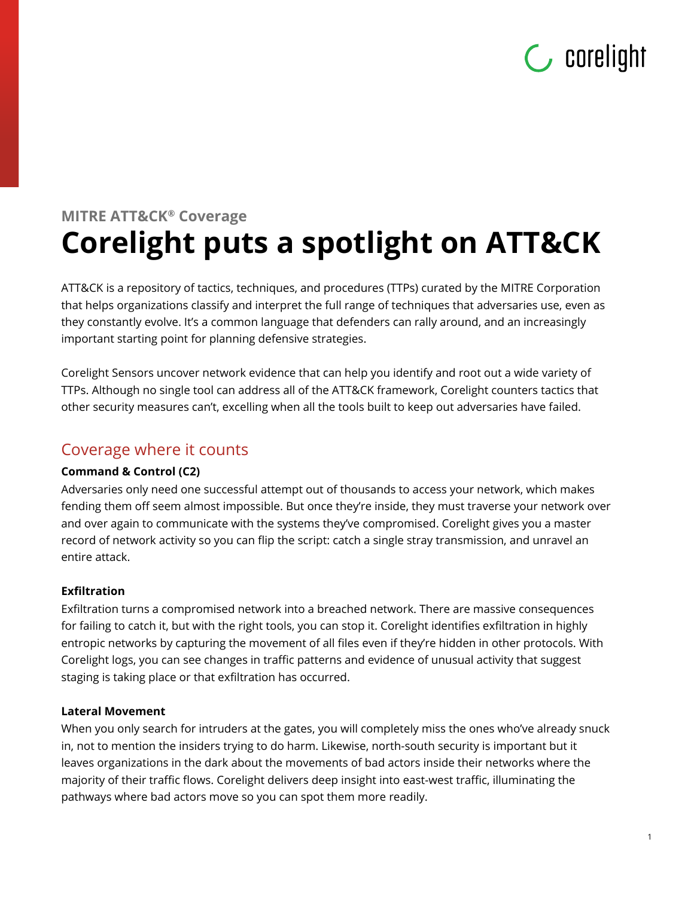## $\mathsf{C}$  corelight

### **MITRE ATT&CK® Coverage Corelight puts a spotlight on ATT&CK**

ATT&CK is a repository of tactics, techniques, and procedures (TTPs) curated by the MITRE Corporation that helps organizations classify and interpret the full range of techniques that adversaries use, even as they constantly evolve. It's a common language that defenders can rally around, and an increasingly important starting point for planning defensive strategies.

Corelight Sensors uncover network evidence that can help you identify and root out a wide variety of TTPs. Although no single tool can address all of the ATT&CK framework, Corelight counters tactics that other security measures can't, excelling when all the tools built to keep out adversaries have failed.

#### Coverage where it counts

#### **Command & Control (C2)**

Adversaries only need one successful attempt out of thousands to access your network, which makes fending them off seem almost impossible. But once they're inside, they must traverse your network over and over again to communicate with the systems they've compromised. Corelight gives you a master record of network activity so you can flip the script: catch a single stray transmission, and unravel an entire attack.

#### **Exfiltration**

Exfiltration turns a compromised network into a breached network. There are massive consequences for failing to catch it, but with the right tools, you can stop it. Corelight identifies exfiltration in highly entropic networks by capturing the movement of all files even if they're hidden in other protocols. With Corelight logs, you can see changes in traffic patterns and evidence of unusual activity that suggest staging is taking place or that exfiltration has occurred.

#### **Lateral Movement**

When you only search for intruders at the gates, you will completely miss the ones who've already snuck in, not to mention the insiders trying to do harm. Likewise, north-south security is important but it leaves organizations in the dark about the movements of bad actors inside their networks where the majority of their traffic flows. Corelight delivers deep insight into east-west traffic, illuminating the pathways where bad actors move so you can spot them more readily.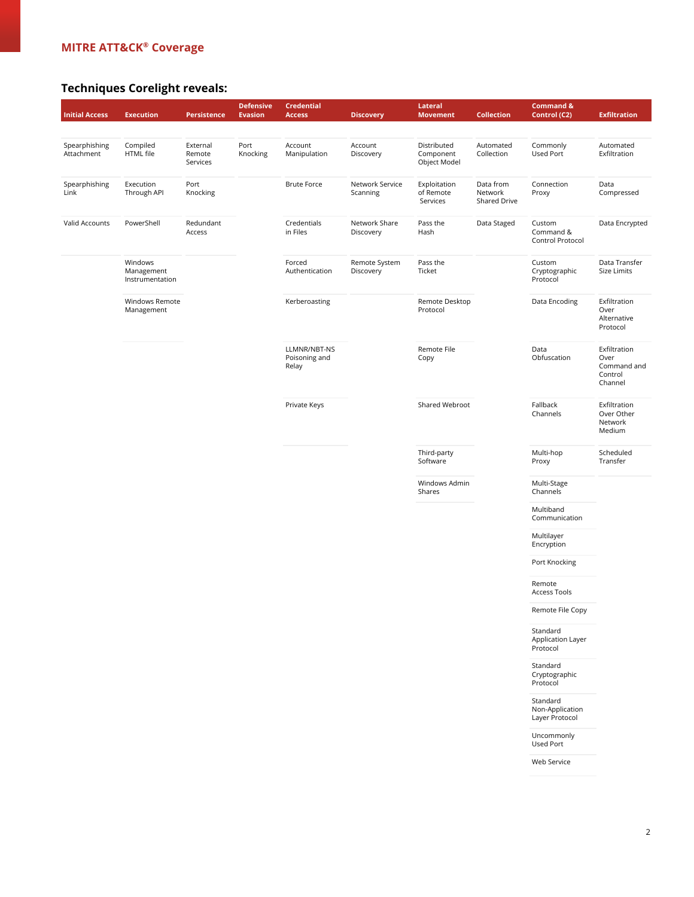#### **MITRE ATT&CK® Coverage**

#### **Techniques Corelight reveals:**

| <b>Initial Access</b>       | <b>Execution</b>                         | Persistence                    | <b>Defensive</b><br><b>Evasion</b> | <b>Credential</b><br><b>Access</b>     | <b>Discovery</b>            | Lateral<br><b>Movement</b>               | <b>Collection</b>                    | <b>Command &amp;</b><br>Control (C2)          | <b>Exfiltration</b>                                       |
|-----------------------------|------------------------------------------|--------------------------------|------------------------------------|----------------------------------------|-----------------------------|------------------------------------------|--------------------------------------|-----------------------------------------------|-----------------------------------------------------------|
|                             |                                          |                                |                                    |                                        |                             |                                          |                                      |                                               |                                                           |
| Spearphishing<br>Attachment | Compiled<br>HTML file                    | External<br>Remote<br>Services | Port<br>Knocking                   | Account<br>Manipulation                | Account<br>Discovery        | Distributed<br>Component<br>Object Model | Automated<br>Collection              | Commonly<br>Used Port                         | Automated<br>Exfiltration                                 |
| Spearphishing<br>Link       | Execution<br>Through API                 | Port<br>Knocking               |                                    | <b>Brute Force</b>                     | Network Service<br>Scanning | Exploitation<br>of Remote<br>Services    | Data from<br>Network<br>Shared Drive | Connection<br>Proxy                           | Data<br>Compressed                                        |
| Valid Accounts              | PowerShell                               | Redundant<br>Access            |                                    | Credentials<br>in Files                | Network Share<br>Discovery  | Pass the<br>Hash                         | Data Staged                          | Custom<br>Command &<br>Control Protocol       | Data Encrypted                                            |
|                             | Windows<br>Management<br>Instrumentation |                                |                                    | Forced<br>Authentication               | Remote System<br>Discovery  | Pass the<br>Ticket                       |                                      | Custom<br>Cryptographic<br>Protocol           | Data Transfer<br>Size Limits                              |
|                             | Windows Remote<br>Management             |                                |                                    | Kerberoasting                          |                             | Remote Desktop<br>Protocol               |                                      | Data Encoding                                 | Exfiltration<br>Over<br>Alternative<br>Protocol           |
|                             |                                          |                                |                                    | LLMNR/NBT-NS<br>Poisoning and<br>Relay |                             | Remote File<br>Copy                      |                                      | Data<br>Obfuscation                           | Exfiltration<br>Over<br>Command and<br>Control<br>Channel |
|                             |                                          |                                |                                    | Private Keys                           |                             | Shared Webroot                           |                                      | Fallback<br>Channels                          | Exfiltration<br>Over Other<br>Network<br>Medium           |
|                             |                                          |                                |                                    |                                        |                             | Third-party<br>Software                  |                                      | Multi-hop<br>Proxy                            | Scheduled<br>Transfer                                     |
|                             |                                          |                                |                                    |                                        |                             | Windows Admin<br>Shares                  |                                      | Multi-Stage<br>Channels                       |                                                           |
|                             |                                          |                                |                                    |                                        |                             |                                          |                                      | Multiband<br>Communication                    |                                                           |
|                             |                                          |                                |                                    |                                        |                             |                                          |                                      | Multilayer<br>Encryption                      |                                                           |
|                             |                                          |                                |                                    |                                        |                             |                                          |                                      | Port Knocking                                 |                                                           |
|                             |                                          |                                |                                    |                                        |                             |                                          |                                      | Remote<br>Access Tools                        |                                                           |
|                             |                                          |                                |                                    |                                        |                             |                                          |                                      | Remote File Copy                              |                                                           |
|                             |                                          |                                |                                    |                                        |                             |                                          |                                      | Standard<br>Application Layer<br>Protocol     |                                                           |
|                             |                                          |                                |                                    |                                        |                             |                                          |                                      | Standard<br>Cryptographic<br>Protocol         |                                                           |
|                             |                                          |                                |                                    |                                        |                             |                                          |                                      | Standard<br>Non-Application<br>Layer Protocol |                                                           |
|                             |                                          |                                |                                    |                                        |                             |                                          |                                      | Uncommonly<br>Used Port                       |                                                           |
|                             |                                          |                                |                                    |                                        |                             |                                          |                                      | Web Service                                   |                                                           |
|                             |                                          |                                |                                    |                                        |                             |                                          |                                      |                                               |                                                           |